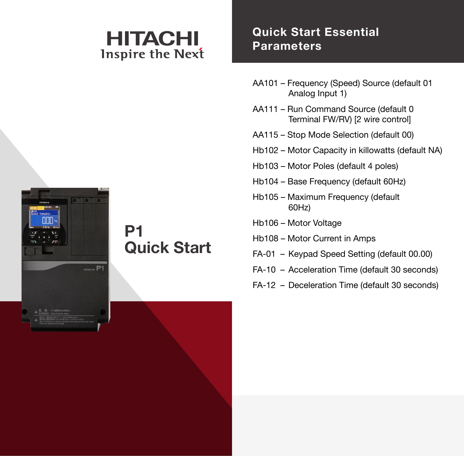# HITACHI **Inspire the Next**

### **Quick Start Essential Parameters**

- AA101 Frequency (Speed) Source (default 01 Analog Input 1)
- AA111 Run Command Source (default 0 Terminal FW/RV) [2 wire control]
- AA115 Stop Mode Selection (default 00)
- Hb102 Motor Capacity in killowatts (default NA)
- Hb103 Motor Poles (default 4 poles)
- Hb104 Base Frequency (default 60Hz)
- Hb105 Maximum Frequency (default 60Hz)
- Hb106 Motor Voltage
- Hb108 Motor Current in Amps
- FA-01 Keypad Speed Setting (default 00.00)
- FA-10 Acceleration Time (default 30 seconds)
- FA-12 Deceleration Time (default 30 seconds)



## **P1 Quick Start**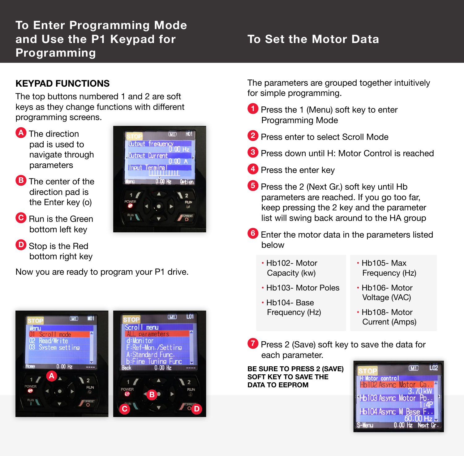## **To Enter Programming Mode and Use the P1 Keypad for Programming**

## **To Set the Motor Data**

#### **KEYPAD FUNCTIONS**

The top buttons numbered 1 and 2 are soft keys as they change functions with different programming screens.

- **A** The direction pad is used to navigate through parameters
- **B** The center of the direction pad is the Enter key (ο)
- **C** Run is the Green bottom left key
- **D** Stop is the Red bottom right key

Now you are ready to program your P1 drive.



The parameters are grouped together intuitively for simple programming.

- **1** Press the 1 (Menu) soft key to enter Programming Mode
- **2** Press enter to select Scroll Mode
- **3** Press down until H: Motor Control is reached
- **4** Press the enter key
- **5** Press the 2 (Next Gr.) soft key until Hb parameters are reached. If you go too far, keep pressing the 2 key and the parameter list will swing back around to the HA group
- **6** Enter the motor data in the parameters listed below
	- Hb102- Motor Capacity (kw)
	- Hb103- Motor Poles
	- Hb104- Base Frequency (Hz)
- Hb105- Max Frequency (Hz)
- Hb106- Motor Voltage (VAC)
- Hb108- Motor Current (Amps)
- **7** Press 2 (Save) soft key to save the data for each parameter.

**BE SURE TO PRESS 2 (SAVE) SOFT KEY TO SAVE THE DATA TO EEPROM**

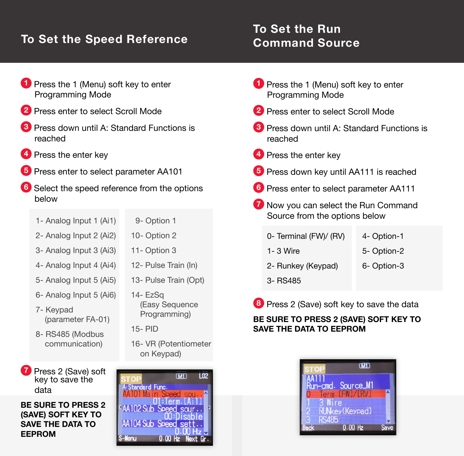## **To Set the Speed Reference**

### **To Set the Run Command Source**

- **1** Press the 1 (Menu) soft key to enter Programming Mode
- **2** Press enter to select Scroll Mode
- **3** Press down until A: Standard Functions is reached
- **4** Press the enter key
- **5** Press enter to select parameter AA101
- **6** Select the speed reference from the options below
	- 1- Analog Input 1 (Ai1)
- 9- Option 1 10- Option 2 11- Option 3
	- 2- Analog Input 2 (Ai2)
	- 3- Analog Input 3 (Ai3)
	- 4- Analog Input 4 (Ai4)
	- 5- Analog Input 5 (Ai5)
	- 6- Analog Input 5 (Ai6)
	- 7- Keypad (parameter FA-01)
	- 8- RS485 (Modbus communication)

**7** Press 2 (Save) soft key to save the data

**BE SURE TO PRESS 2 (SAVE) SOFT KEY TO SAVE THE DATA TO EEPROM**

13- Pulse Train (Opt) 14- EzSq (Easy Sequence Programming)

12- Pulse Train (In)

- 15- PID
- 16- VR (Potentiometer on Keypad)

 $\sqrt{M_1}$  $\overline{102}$ **A:Standard Func** 01:Term.[Ai1 AA102 Sub Speed sour... 00:Disable AA104 Sub Speed set  $0.00$  Hz Next

- **1** Press the 1 (Menu) soft key to enter Programming Mode
- **2** Press enter to select Scroll Mode
- **3** Press down until A: Standard Functions is reached
- **4** Press the enter key
- **5** Press down key until AA111 is reached
- **6** Press enter to select parameter AA111
- **7** Now you can select the Run Command Source from the options below
	- 0- Terminal (FW)/ (RV) 4- Option-1
	- 1- 3 Wire
- 5- Option-2
- 2- Runkey (Keypad) 6- Option-3
- 3- RS485

**8** Press 2 (Save) soft key to save the data

#### **BE SURE TO PRESS 2 (SAVE) SOFT KEY TO SAVE THE DATA TO EEPROM**

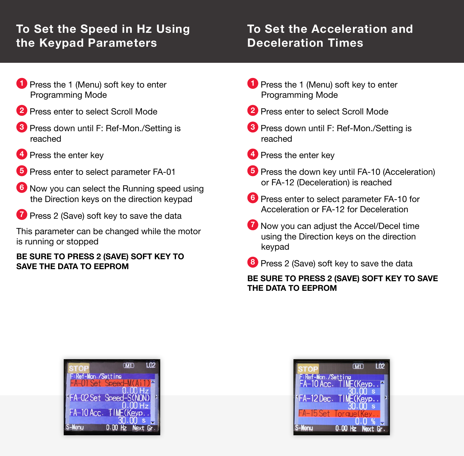## **To Set the Speed in Hz Using the Keypad Parameters**

### **To Set the Acceleration and Deceleration Times**

- **1** Press the 1 (Menu) soft key to enter Programming Mode
- **2** Press enter to select Scroll Mode
- **3** Press down until F: Ref-Mon./Setting is reached
- **4** Press the enter key
- **5** Press enter to select parameter FA-01
- **6** Now you can select the Running speed using the Direction keys on the direction keypad
- **7** Press 2 (Save) soft key to save the data

This parameter can be changed while the motor is running or stopped

#### **BE SURE TO PRESS 2 (SAVE) SOFT KEY TO SAVE THE DATA TO EEPROM**

- **1** Press the 1 (Menu) soft key to enter Programming Mode
- **2** Press enter to select Scroll Mode
- **3** Press down until F: Ref-Mon./Setting is reached
- **4** Press the enter key
- **5** Press the down key until FA-10 (Acceleration) or FA-12 (Deceleration) is reached
- **6** Press enter to select parameter FA-10 for Acceleration or FA-12 for Deceleration
- **7** Now you can adjust the Accel/Decel time using the Direction keys on the direction keypad
- **8** Press 2 (Save) soft key to save the data

#### **BE SURE TO PRESS 2 (SAVE) SOFT KEY TO SAVE THE DATA TO EEPROM**